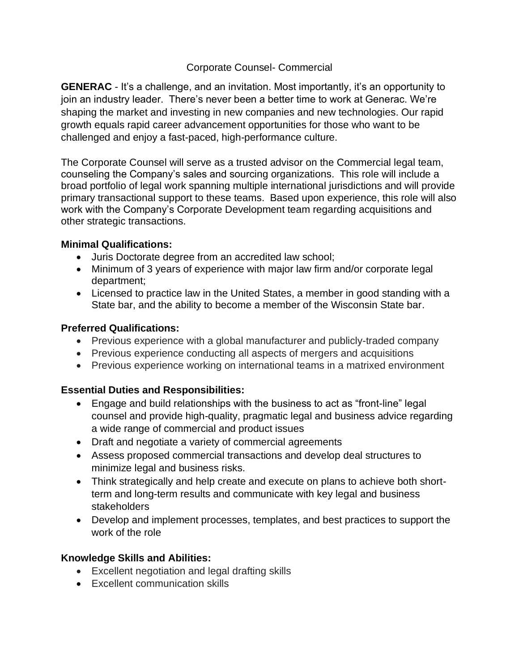## Corporate Counsel- Commercial

**GENERAC** - It's a challenge, and an invitation. Most importantly, it's an opportunity to join an industry leader. There's never been a better time to work at Generac. We're shaping the market and investing in new companies and new technologies. Our rapid growth equals rapid career advancement opportunities for those who want to be challenged and enjoy a fast-paced, high-performance culture.

The Corporate Counsel will serve as a trusted advisor on the Commercial legal team, counseling the Company's sales and sourcing organizations. This role will include a broad portfolio of legal work spanning multiple international jurisdictions and will provide primary transactional support to these teams. Based upon experience, this role will also work with the Company's Corporate Development team regarding acquisitions and other strategic transactions.

## **Minimal Qualifications:**

- Juris Doctorate degree from an accredited law school;
- Minimum of 3 years of experience with major law firm and/or corporate legal department;
- Licensed to practice law in the United States, a member in good standing with a State bar, and the ability to become a member of the Wisconsin State bar.

## **Preferred Qualifications:**

- Previous experience with a global manufacturer and publicly-traded company
- Previous experience conducting all aspects of mergers and acquisitions
- Previous experience working on international teams in a matrixed environment

## **Essential Duties and Responsibilities:**

- Engage and build relationships with the business to act as "front-line" legal counsel and provide high-quality, pragmatic legal and business advice regarding a wide range of commercial and product issues
- Draft and negotiate a variety of commercial agreements
- Assess proposed commercial transactions and develop deal structures to minimize legal and business risks.
- Think strategically and help create and execute on plans to achieve both shortterm and long-term results and communicate with key legal and business stakeholders
- Develop and implement processes, templates, and best practices to support the work of the role

# **Knowledge Skills and Abilities:**

- Excellent negotiation and legal drafting skills
- Excellent communication skills